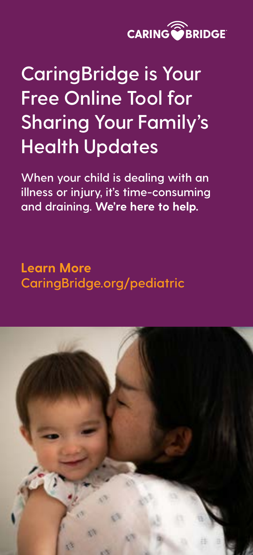

## **CaringBridge is Your Free Online Tool for Sharing Your Family's Health Updates**

**When your child is dealing with an illness or injury, it's time-consuming and draining. We're here to help.**

**Learn More [CaringBridge.org/pediatric](http://CaringBridge.org/pediatric/)**